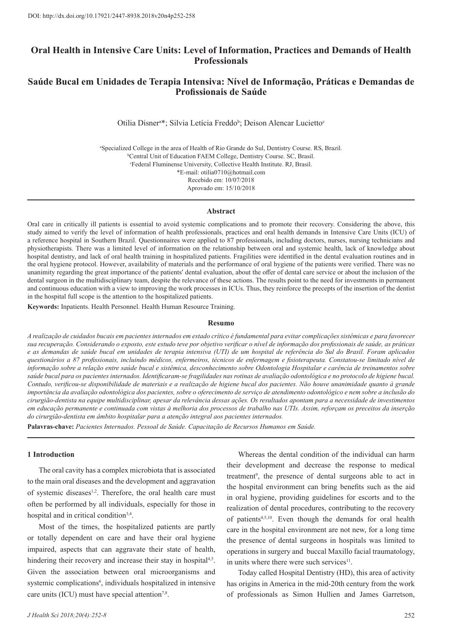# **Oral Health in Intensive Care Units: Level of Information, Practices and Demands of Health Professionals**

# **Saúde Bucal em Unidades de Terapia Intensiva: Nível de Informação, Práticas e Demandas de Profissionais de Saúde**

Otilia Disner<sup>a\*</sup>; Silvia Letícia Freddo<sup>b</sup>; Deison Alencar Lucietto<sup>c</sup>

a Specialized College in the area of Health of Rio Grande do Sul, Dentistry Course. RS, Brazil. b Central Unit of Education FAEM College, Dentistry Course. SC, Brasil. c Federal Fluminense University, Collective Health Institute. RJ, Brasil. \*E-mail: otilia0710@hotmail.com Recebido em: 10/07/2018 Aprovado em: 15/10/2018

#### **Abstract**

Oral care in critically ill patients is essential to avoid systemic complications and to promote their recovery. Considering the above, this study aimed to verify the level of information of health professionals, practices and oral health demands in Intensive Care Units (ICU) of a reference hospital in Southern Brazil. Questionnaires were applied to 87 professionals, including doctors, nurses, nursing technicians and physiotherapists. There was a limited level of information on the relationship between oral and systemic health, lack of knowledge about hospital dentistry, and lack of oral health training in hospitalized patients. Fragilities were identified in the dental evaluation routines and in the oral hygiene protocol. However, availability of materials and the performance of oral hygiene of the patients were verified. There was no unanimity regarding the great importance of the patients' dental evaluation, about the offer of dental care service or about the inclusion of the dental surgeon in the multidisciplinary team, despite the relevance of these actions. The results point to the need for investments in permanent and continuous education with a view to improving the work processes in ICUs. Thus, they reinforce the precepts of the insertion of the dentist in the hospital full scope is the attention to the hospitalized patients.

**Keywords:** Inpatients. Health Personnel. Health Human Resource Training.

#### **Resumo**

*A realização de cuidados bucais em pacientes internados em estado crítico é fundamental para evitar complicações sistêmicas e para favorecer sua recuperação. Considerando o exposto, este estudo teve por objetivo verificar o nível de informação dos profissionais de saúde, as práticas e as demandas de saúde bucal em unidades de terapia intensiva (UTI) de um hospital de referência do Sul do Brasil. Foram aplicados questionários a 87 profissionais, incluindo médicos, enfermeiros, técnicos de enfermagem e fisioterapeuta. Constatou-se limitado nível de informação sobre a relação entre saúde bucal e sistêmica, desconhecimento sobre Odontologia Hospitalar e carência de treinamentos sobre saúde bucal para os pacientes internados. Identificaram-se fragilidades nas rotinas de avaliação odontológica e no protocolo de higiene bucal. Contudo, verificou-se disponibilidade de materiais e a realização de higiene bucal dos pacientes. Não houve unanimidade quanto à grande importância da avaliação odontológica dos pacientes, sobre o oferecimento de serviço de atendimento odontológico e nem sobre a inclusão do cirurgião-dentista na equipe multidisciplinar, apesar da relevância dessas ações. Os resultados apontam para a necessidade de investimentos em educação permanente e continuada com vistas à melhoria dos processos de trabalho nas UTIs. Assim, reforçam os preceitos da inserção do cirurgião-dentista em âmbito hospitalar para a atenção integral aos pacientes internados.*

**Palavras-chave:** *Pacientes Internados. Pessoal de Saúde. Capacitação de Recursos Humanos em Saúde.* 

### **1 Introduction**

The oral cavity has a complex microbiota that is associated to the main oral diseases and the development and aggravation of systemic diseases<sup>1,2</sup>. Therefore, the oral health care must often be performed by all individuals, especially for those in hospital and in critical condition<sup>3,4</sup>.

Most of the times, the hospitalized patients are partly or totally dependent on care and have their oral hygiene impaired, aspects that can aggravate their state of health, hindering their recovery and increase their stay in hospital<sup>4,5</sup>. Given the association between oral microorganisms and systemic complications<sup>6</sup>, individuals hospitalized in intensive care units (ICU) must have special attention<sup>7,8</sup>.

Whereas the dental condition of the individual can harm their development and decrease the response to medical treatment<sup>9</sup>, the presence of dental surgeons able to act in the hospital environment can bring benefits such as the aid in oral hygiene, providing guidelines for escorts and to the realization of dental procedures, contributing to the recovery of patients4,5,10. Even though the demands for oral health care in the hospital environment are not new, for a long time the presence of dental surgeons in hospitals was limited to operations in surgery and buccal Maxillo facial traumatology, in units where there were such services<sup>11</sup>.

Today called Hospital Dentistry (HD), this area of activity has origins in America in the mid-20th century from the work of professionals as Simon Hullien and James Garretson,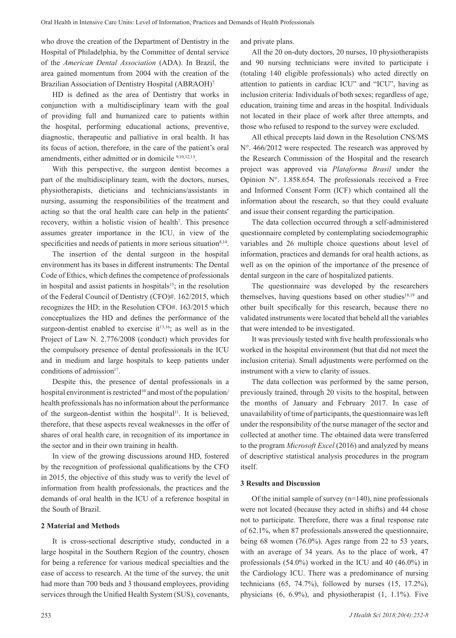who drove the creation of the Department of Dentistry in the Hospital of Philadelphia, by the Committee of dental service of the *American Dental Association* (ADA). In Brazil, the area gained momentum from 2004 with the creation of the Brazilian Association of Dentistry Hospital (ABRAOH)<sup>7.</sup>

HD is defined as the area of Dentistry that works in conjunction with a multidisciplinary team with the goal of providing full and humanized care to patients within the hospital, performing educational actions, preventive, diagnostic, therapeutic and palliative in oral health. It has its focus of action, therefore, in the care of the patient's oral amendments, either admitted or in domicile 9,10,12,13.

With this perspective, the surgeon dentist becomes a part of the multidisciplinary team, with the doctors, nurses, physiotherapists, dieticians and technicians/assistants in nursing, assuming the responsibilities of the treatment and acting so that the oral health care can help in the patients' recovery, within a holistic vision of health<sup>7</sup>. This presence assumes greater importance in the ICU, in view of the specificities and needs of patients in more serious situation $8,14$ .

The insertion of the dental surgeon in the hospital environment has its bases in different instruments: The Dental Code of Ethics, which defines the competence of professionals in hospital and assist patients in hospitals $15$ ; in the resolution of the Federal Council of Dentistry (CFO)#. 162/2015, which recognizes the HD; in the Resolution CFO#. 163/2015 which conceptualizes the HD and defines the performance of the surgeon-dentist enabled to exercise  $it^{13,16}$ ; as well as in the Project of Law N. 2.776/2008 (conduct) which provides for the compulsory presence of dental professionals in the ICU and in medium and large hospitals to keep patients under conditions of admission<sup>17</sup>.

Despite this, the presence of dental professionals in a hospital environment is restricted<sup>10</sup> and most of the population/ health professionals has no information about the performance of the surgeon-dentist within the hospital<sup>11</sup>. It is believed, therefore, that these aspects reveal weaknesses in the offer of shares of oral health care, in recognition of its importance in the sector and in their own training in health.

In view of the growing discussions around HD, fostered by the recognition of professional qualifications by the CFO in 2015, the objective of this study was to verify the level of information from health professionals, the practices and the demands of oral health in the ICU of a reference hospital in the South of Brazil.

### **2 Material and Methods**

It is cross-sectional descriptive study, conducted in a large hospital in the Southern Region of the country, chosen for being a reference for various medical specialties and the ease of access to research. At the time of the survey, the unit had more than 700 beds and 3 thousand employees, providing services through the Unified Health System (SUS), covenants, and private plans.

All the 20 on-duty doctors, 20 nurses, 10 physiotherapists and 90 nursing technicians were invited to participate i (totaling 140 eligible professionals) who acted directly on attention to patients in cardiac ICU" and "ICU", having as inclusion criteria: Individuals of both sexes; regardless of age, education, training time and areas in the hospital. Individuals not located in their place of work after three attempts, and those who refused to respond to the survey were excluded.

All ethical precepts laid down in the Resolution CNS/MS N°. 466/2012 were respected. The research was approved by the Research Commission of the Hospital and the research project was approved via *Plataforma Brasil* under the Opinion N°. 1.858.654. The professionals received a Free and Informed Consent Form (ICF) which contained all the information about the research, so that they could evaluate and issue their consent regarding the participation.

The data collection occurred through a self-administered questionnaire completed by contemplating sociodemographic variables and 26 multiple choice questions about level of information, practices and demands for oral health actions, as well as on the opinion of the importance of the presence of dental surgeon in the care of hospitalized patients.

The questionnaire was developed by the researchers themselves, having questions based on other studies $18,19$  and other built specifically for this research, because there no validated instruments were located that beheld all the variables that were intended to be investigated.

It was previously tested with five health professionals who worked in the hospital environment (but that did not meet the inclusion criteria). Small adjustments were performed on the instrument with a view to clarity of issues.

The data collection was performed by the same person, previously trained, through 20 visits to the hospital, between the months of January and February 2017. In case of unavailability of time of participants, the questionnaire was left under the responsibility of the nurse manager of the sector and collected at another time. The obtained data were transferred to the program *Microsoft Excel* (2016) and analyzed by means of descriptive statistical analysis procedures in the program itself.

## **3 Results and Discussion**

Of the initial sample of survey (n=140), nine professionals were not located (because they acted in shifts) and 44 chose not to participate. Therefore, there was a final response rate of 62.1%, when 87 professionals answered the questionnaire, being 68 women (76.0%). Ages range from 22 to 53 years, with an average of 34 years. As to the place of work, 47 professionals (54.0%) worked in the ICU and 40 (46.0%) in the Cardiology ICU. There was a predominance of nursing technicians  $(65, 74.7%)$ , followed by nurses  $(15, 17.2%)$ , physicians (6, 6.9%), and physiotherapist (1, 1.1%). Five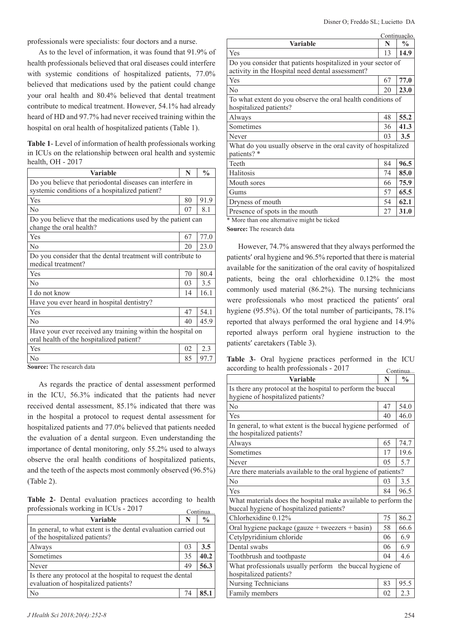professionals were specialists: four doctors and a nurse.

As to the level of information, it was found that 91.9% of health professionals believed that oral diseases could interfere with systemic conditions of hospitalized patients, 77.0% believed that medications used by the patient could change your oral health and 80.4% believed that dental treatment contribute to medical treatment. However, 54.1% had already heard of HD and 97.7% had never received training within the hospital on oral health of hospitalized patients (Table 1).

**Table 1**- Level of information of health professionals working in ICUs on the relationship between oral health and systemic health, OH - 2017

| <b>Variable</b>                                                                                             | N  | $\frac{0}{0}$ |
|-------------------------------------------------------------------------------------------------------------|----|---------------|
| Do you believe that periodontal diseases can interfere in<br>systemic conditions of a hospitalized patient? |    |               |
| Yes                                                                                                         | 80 | 91.9          |
| N <sub>0</sub>                                                                                              | 07 | 8.1           |
| Do you believe that the medications used by the patient can<br>change the oral health?                      |    |               |
| Yes                                                                                                         | 67 | 77.0          |
| No                                                                                                          | 20 | 23.0          |
| Do you consider that the dental treatment will contribute to<br>medical treatment?                          |    |               |
| Yes                                                                                                         | 70 | 80.4          |
| No                                                                                                          | 03 | 3.5           |
| I do not know                                                                                               | 14 | 16.1          |
| Have you ever heard in hospital dentistry?                                                                  |    |               |
| Yes                                                                                                         | 47 | 54.1          |
| No                                                                                                          | 40 | 45.9          |
| Have your ever received any training within the hospital on<br>oral health of the hospitalized patient?     |    |               |
| Yes                                                                                                         | 02 | 2.3           |
| No                                                                                                          | 85 | 97.7          |

**Source:** The research data

As regards the practice of dental assessment performed in the ICU, 56.3% indicated that the patients had never received dental assessment, 85.1% indicated that there was in the hospital a protocol to request dental assessment for hospitalized patients and 77.0% believed that patients needed the evaluation of a dental surgeon. Even understanding the importance of dental monitoring, only 55.2% used to always observe the oral health conditions of hospitalized patients, and the teeth of the aspects most commonly observed (96.5%) (Table 2).

**Table 2**- Dental evaluation practices according to health professionals working in ICUs - 2017

| $\mu$ onessionais working in recos - 2017                                                           |    | Continua      |
|-----------------------------------------------------------------------------------------------------|----|---------------|
| Variable                                                                                            | N  | $\frac{0}{0}$ |
| In general, to what extent is the dental evaluation carried out<br>of the hospitalized patients?    |    |               |
| Always                                                                                              | 03 | 3.5           |
| Sometimes                                                                                           | 35 | 40.2          |
| Never                                                                                               | 49 | 56.3          |
| Is there any protocol at the hospital to request the dental<br>evaluation of hospitalized patients? |    |               |
| N <sub>o</sub>                                                                                      | 74 |               |

|                                                                                                                  |    | Continuação. |  |  |
|------------------------------------------------------------------------------------------------------------------|----|--------------|--|--|
| N<br>Variable                                                                                                    |    |              |  |  |
| Yes                                                                                                              | 13 | 14.9         |  |  |
| Do you consider that patients hospitalized in your sector of<br>activity in the Hospital need dental assessment? |    |              |  |  |
| Yes                                                                                                              | 67 | 77.0         |  |  |
| No                                                                                                               | 20 | 23.0         |  |  |
| To what extent do you observe the oral health conditions of<br>hospitalized patients?                            |    |              |  |  |
| Always                                                                                                           | 48 | 55.2         |  |  |
| Sometimes                                                                                                        | 36 | 41.3         |  |  |
| Never                                                                                                            | 03 | 3.5          |  |  |
| What do you usually observe in the oral cavity of hospitalized<br>patients? *                                    |    |              |  |  |
| Teeth                                                                                                            | 84 | 96.5         |  |  |
| Halitosis                                                                                                        | 74 | 85.0         |  |  |
| Mouth sores                                                                                                      | 66 | 75.9         |  |  |
| Gums                                                                                                             | 57 | 65.5         |  |  |
| Dryness of mouth                                                                                                 | 54 | 62.1         |  |  |
| Presence of spots in the mouth                                                                                   | 27 | 31.0         |  |  |

\* More than one alternative might be ticked

**Source:** The research data

However, 74.7% answered that they always performed the patients' oral hygiene and 96.5% reported that there is material available for the sanitization of the oral cavity of hospitalized patients, being the oral chlorhexidine 0.12% the most commonly used material (86.2%). The nursing technicians were professionals who most practiced the patients' oral hygiene (95.5%). Of the total number of participants, 78.1% reported that always performed the oral hygiene and 14.9% reported always perform oral hygiene instruction to the patients' caretakers (Table 3).

**Table 3**- Oral hygiene practices performed in the ICU according to health professionals - 2017 Continua...

| Variable                                                                                                   | N  | Сопинца<br>$\frac{0}{0}$ |
|------------------------------------------------------------------------------------------------------------|----|--------------------------|
| Is there any protocol at the hospital to perform the buccal                                                |    |                          |
| hygiene of hospitalized patients?                                                                          |    |                          |
| No                                                                                                         | 47 | 54.0                     |
| Yes                                                                                                        | 40 | 46.0                     |
| In general, to what extent is the buccal hygiene performed                                                 |    | of                       |
| the hospitalized patients?                                                                                 |    |                          |
| Always                                                                                                     | 65 | 74.7                     |
| Sometimes                                                                                                  | 17 | 19.6                     |
| Never                                                                                                      | 05 | 5.7                      |
| Are there materials available to the oral hygiene of patients?                                             |    |                          |
| No                                                                                                         | 03 | 3.5                      |
| Yes                                                                                                        | 84 | 96.5                     |
| What materials does the hospital make available to perform the<br>buccal hygiene of hospitalized patients? |    |                          |
| Chlorhexidine 0.12%                                                                                        | 75 | 86.2                     |
| Oral hygiene package (gauze + tweezers + basin)                                                            | 58 | 66.6                     |
| Cetylpyridinium chloride                                                                                   | 06 | 6.9                      |
| Dental swabs                                                                                               | 06 | 6.9                      |
| Toothbrush and toothpaste                                                                                  | 04 | 4.6                      |
| What professionals usually perform the buccal hygiene of<br>hospitalized patients?                         |    |                          |
| Nursing Technicians                                                                                        | 83 | 95.5                     |
| Family members                                                                                             | 02 | 2.3                      |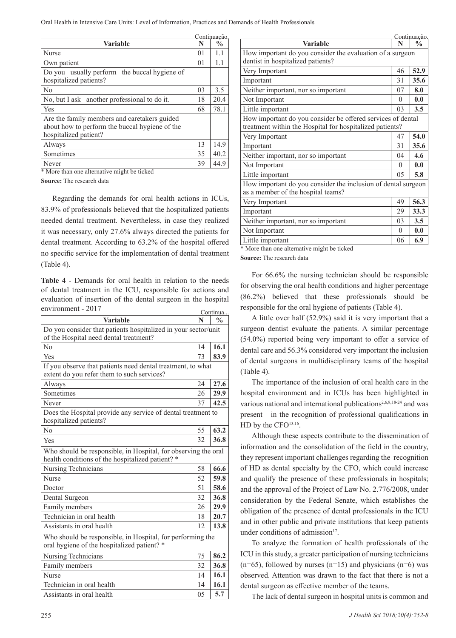Oral Health in Intensive Care Units: Level of Information, Practices and Demands of Health Professionals

|                                                                                                                         |                | Continuação.  |
|-------------------------------------------------------------------------------------------------------------------------|----------------|---------------|
| <b>Variable</b>                                                                                                         | N              | $\frac{0}{0}$ |
| Nurse                                                                                                                   | 0 <sub>1</sub> | 1.1           |
| Own patient                                                                                                             | 0 <sub>1</sub> | 1.1           |
| Do you usually perform the buccal hygiene of<br>hospitalized patients?                                                  |                |               |
| No                                                                                                                      | 03             | 3.5           |
| No, but I ask another professional to do it.                                                                            | 18             | 20.4          |
| l Yes                                                                                                                   | 68             | 78.1          |
| Are the family members and caretakers guided<br>about how to perform the buccal hygiene of the<br>hospitalized patient? |                |               |
| Always                                                                                                                  | 13             | 14.9          |
| Sometimes                                                                                                               | 35             | 40.2          |
| Never                                                                                                                   | 39             | 44.9          |
| * More than one alternative might be ticked                                                                             |                |               |

**Source:** The research data

Regarding the demands for oral health actions in ICUs, 83.9% of professionals believed that the hospitalized patients needed dental treatment. Nevertheless, in case they realized it was necessary, only 27.6% always directed the patients for dental treatment. According to 63.2% of the hospital offered no specific service for the implementation of dental treatment (Table 4).

**Table 4** - Demands for oral health in relation to the needs of dental treatment in the ICU, responsible for actions and evaluation of insertion of the dental surgeon in the hospital environment - 2017

| $\frac{0}{0}$<br>Variable<br>N<br>Do you consider that patients hospitalized in your sector/unit<br>of the Hospital need dental treatment?<br>No<br>16.1<br>14<br>Yes<br>83.9<br>73<br>If you observe that patients need dental treatment, to what<br>extent do you refer them to such services?<br>27.6<br>24<br>Always<br>Sometimes<br>26<br>29.9<br>42.5<br>37<br>Never<br>Does the Hospital provide any service of dental treatment to<br>hospitalized patients?<br>63.2<br>No<br>55<br>36.8<br>32<br>Yes<br>Who should be responsible, in Hospital, for observing the oral<br>health conditions of the hospitalized patient? *<br>66.6<br>58<br>Nursing Technicians<br>Nurse<br>52<br>59.8<br>51<br>58.6<br>Doctor<br>36.8<br>32<br>Dental Surgeon<br>26<br>29.9<br>Family members<br>20.7<br>Technician in oral health<br>18<br>13.8<br>Assistants in oral health<br>12<br>Who should be responsible, in Hospital, for performing the<br>oral hygiene of the hospitalized patient? *<br>86.2<br>Nursing Technicians<br>75<br>36.8<br>32<br>Family members<br>16.1<br><b>Nurse</b><br>14<br>16.1<br>Technician in oral health<br>14<br>Assistants in oral health<br>5.7<br>05 | $\mathsf{C}_{\mathsf{H}}$ v hominum - 2017 |  | Continua |
|------------------------------------------------------------------------------------------------------------------------------------------------------------------------------------------------------------------------------------------------------------------------------------------------------------------------------------------------------------------------------------------------------------------------------------------------------------------------------------------------------------------------------------------------------------------------------------------------------------------------------------------------------------------------------------------------------------------------------------------------------------------------------------------------------------------------------------------------------------------------------------------------------------------------------------------------------------------------------------------------------------------------------------------------------------------------------------------------------------------------------------------------------------------------------------|--------------------------------------------|--|----------|
|                                                                                                                                                                                                                                                                                                                                                                                                                                                                                                                                                                                                                                                                                                                                                                                                                                                                                                                                                                                                                                                                                                                                                                                    |                                            |  |          |
|                                                                                                                                                                                                                                                                                                                                                                                                                                                                                                                                                                                                                                                                                                                                                                                                                                                                                                                                                                                                                                                                                                                                                                                    |                                            |  |          |
|                                                                                                                                                                                                                                                                                                                                                                                                                                                                                                                                                                                                                                                                                                                                                                                                                                                                                                                                                                                                                                                                                                                                                                                    |                                            |  |          |
|                                                                                                                                                                                                                                                                                                                                                                                                                                                                                                                                                                                                                                                                                                                                                                                                                                                                                                                                                                                                                                                                                                                                                                                    |                                            |  |          |
|                                                                                                                                                                                                                                                                                                                                                                                                                                                                                                                                                                                                                                                                                                                                                                                                                                                                                                                                                                                                                                                                                                                                                                                    |                                            |  |          |
|                                                                                                                                                                                                                                                                                                                                                                                                                                                                                                                                                                                                                                                                                                                                                                                                                                                                                                                                                                                                                                                                                                                                                                                    |                                            |  |          |
|                                                                                                                                                                                                                                                                                                                                                                                                                                                                                                                                                                                                                                                                                                                                                                                                                                                                                                                                                                                                                                                                                                                                                                                    |                                            |  |          |
|                                                                                                                                                                                                                                                                                                                                                                                                                                                                                                                                                                                                                                                                                                                                                                                                                                                                                                                                                                                                                                                                                                                                                                                    |                                            |  |          |
|                                                                                                                                                                                                                                                                                                                                                                                                                                                                                                                                                                                                                                                                                                                                                                                                                                                                                                                                                                                                                                                                                                                                                                                    |                                            |  |          |
|                                                                                                                                                                                                                                                                                                                                                                                                                                                                                                                                                                                                                                                                                                                                                                                                                                                                                                                                                                                                                                                                                                                                                                                    |                                            |  |          |
|                                                                                                                                                                                                                                                                                                                                                                                                                                                                                                                                                                                                                                                                                                                                                                                                                                                                                                                                                                                                                                                                                                                                                                                    |                                            |  |          |
|                                                                                                                                                                                                                                                                                                                                                                                                                                                                                                                                                                                                                                                                                                                                                                                                                                                                                                                                                                                                                                                                                                                                                                                    |                                            |  |          |
|                                                                                                                                                                                                                                                                                                                                                                                                                                                                                                                                                                                                                                                                                                                                                                                                                                                                                                                                                                                                                                                                                                                                                                                    |                                            |  |          |
|                                                                                                                                                                                                                                                                                                                                                                                                                                                                                                                                                                                                                                                                                                                                                                                                                                                                                                                                                                                                                                                                                                                                                                                    |                                            |  |          |
|                                                                                                                                                                                                                                                                                                                                                                                                                                                                                                                                                                                                                                                                                                                                                                                                                                                                                                                                                                                                                                                                                                                                                                                    |                                            |  |          |
|                                                                                                                                                                                                                                                                                                                                                                                                                                                                                                                                                                                                                                                                                                                                                                                                                                                                                                                                                                                                                                                                                                                                                                                    |                                            |  |          |
|                                                                                                                                                                                                                                                                                                                                                                                                                                                                                                                                                                                                                                                                                                                                                                                                                                                                                                                                                                                                                                                                                                                                                                                    |                                            |  |          |
|                                                                                                                                                                                                                                                                                                                                                                                                                                                                                                                                                                                                                                                                                                                                                                                                                                                                                                                                                                                                                                                                                                                                                                                    |                                            |  |          |
|                                                                                                                                                                                                                                                                                                                                                                                                                                                                                                                                                                                                                                                                                                                                                                                                                                                                                                                                                                                                                                                                                                                                                                                    |                                            |  |          |
|                                                                                                                                                                                                                                                                                                                                                                                                                                                                                                                                                                                                                                                                                                                                                                                                                                                                                                                                                                                                                                                                                                                                                                                    |                                            |  |          |
|                                                                                                                                                                                                                                                                                                                                                                                                                                                                                                                                                                                                                                                                                                                                                                                                                                                                                                                                                                                                                                                                                                                                                                                    |                                            |  |          |
|                                                                                                                                                                                                                                                                                                                                                                                                                                                                                                                                                                                                                                                                                                                                                                                                                                                                                                                                                                                                                                                                                                                                                                                    |                                            |  |          |
|                                                                                                                                                                                                                                                                                                                                                                                                                                                                                                                                                                                                                                                                                                                                                                                                                                                                                                                                                                                                                                                                                                                                                                                    |                                            |  |          |
|                                                                                                                                                                                                                                                                                                                                                                                                                                                                                                                                                                                                                                                                                                                                                                                                                                                                                                                                                                                                                                                                                                                                                                                    |                                            |  |          |
|                                                                                                                                                                                                                                                                                                                                                                                                                                                                                                                                                                                                                                                                                                                                                                                                                                                                                                                                                                                                                                                                                                                                                                                    |                                            |  |          |

|    | Continuação,  |                                                                                                                         |          | Continuação,  |
|----|---------------|-------------------------------------------------------------------------------------------------------------------------|----------|---------------|
| N  | $\frac{0}{0}$ | <b>Variable</b>                                                                                                         | N        | $\frac{0}{0}$ |
| 01 | 1.1           | How important do you consider the evaluation of a surgeon                                                               |          |               |
| 01 | 1.1           | dentist in hospitalized patients?                                                                                       |          |               |
|    |               | Very Important                                                                                                          | 46       | 52.9          |
|    |               | Important                                                                                                               | 31       | 35.6          |
| 03 | 3.5           | Neither important, nor so important                                                                                     | 07       | 8.0           |
| 18 | 20.4          | Not Important                                                                                                           | $\theta$ | 0.0           |
| 68 | 78.1          | Little important                                                                                                        | 03       | 3.5           |
|    |               | How important do you consider be offered services of dental<br>treatment within the Hospital for hospitalized patients? |          |               |
|    |               | Very Important                                                                                                          | 47       | 54.0          |
| 13 | 14.9          | Important                                                                                                               | 31       | 35.6          |
| 35 | 40.2          | Neither important, nor so important                                                                                     | 04       | 4.6           |
| 39 | 44.9          | Not Important                                                                                                           | $\Omega$ | 0.0           |
|    |               | Little important                                                                                                        | 05       | 5.8           |
|    |               | How important do you consider the inclusion of dental surgeon<br>as a member of the hospital teams?                     |          |               |
|    | is in ICUs,   | Very Important                                                                                                          | 49       | 56.3          |
|    | ed patients   | Important                                                                                                               | 29       | 33.3          |
|    | ey realized   | Neither important, nor so important                                                                                     | 03       | 3.5           |
|    | patients for  | Not Important                                                                                                           | $\theta$ | 0.0           |
|    | ital offered  | Little important                                                                                                        | 06       | 6.9           |
|    |               | $\mathcal{L}$<br><b>CALLA</b> CALLACT<br>$-1$                                                                           |          |               |

\* More than one alternative might be ticked

**Source:** The research data

For 66.6% the nursing technician should be responsible for observing the oral health conditions and higher percentage (86.2%) believed that these professionals should be responsible for the oral hygiene of patients (Table 4).

A little over half (52.9%) said it is very important that a surgeon dentist evaluate the patients. A similar percentage (54.0%) reported being very important to offer a service of dental care and 56.3% considered very important the inclusion of dental surgeons in multidisciplinary teams of the hospital (Table 4).

The importance of the inclusion of oral health care in the hospital environment and in ICUs has been highlighted in various national and international publications<sup>2,6,8,18-24</sup> and was present in the recognition of professional qualifications in HD by the CFO13.16.

Although these aspects contribute to the dissemination of information and the consolidation of the field in the country, they represent important challenges regarding the recognition of HD as dental specialty by the CFO, which could increase and qualify the presence of these professionals in hospitals; and the approval of the Project of Law No. 2.776/2008, under consideration by the Federal Senate, which establishes the obligation of the presence of dental professionals in the ICU and in other public and private institutions that keep patients under conditions of admission<sup>17</sup>.

To analyze the formation of health professionals of the ICU in this study, a greater participation of nursing technicians  $(n=65)$ , followed by nurses  $(n=15)$  and physicians  $(n=6)$  was observed. Attention was drawn to the fact that there is not a dental surgeon as effective member of the teams.

The lack of dental surgeon in hospital units is common and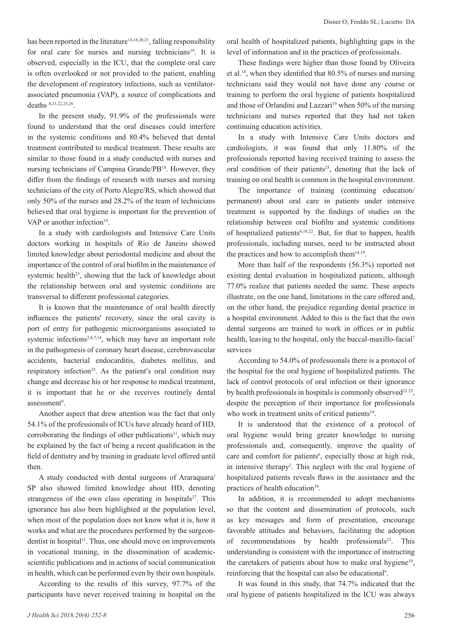has been reported in the literature<sup>14,18,20,21</sup>, falling responsibility for oral care for nurses and nursing technicians<sup>19</sup>. It is observed, especially in the ICU, that the complete oral care is often overlooked or not provided to the patient, enabling the development of respiratory infections, such as ventilatorassociated pneumonia (VAP), a source of complications and deaths 8,21,22,25,26.

In the present study, 91.9% of the professionals were found to understand that the oral diseases could interfere in the systemic conditions and 80.4% believed that dental treatment contributed to medical treatment. These results are similar to those found in a study conducted with nurses and nursing technicians of Campina Grande/PB<sup>18</sup>. However, they differ from the findings of research with nurses and nursing technicians of the city of Porto Alegre/RS, which showed that only 50% of the nurses and 28.2% of the team of technicians believed that oral hygiene is important for the prevention of VAP or another infection<sup>19</sup>.

In a study with cardiologists and Intensive Care Units doctors working in hospitals of Rio de Janeiro showed limited knowledge about periodontal medicine and about the importance of the control of oral biofilm in the maintenance of systemic health<sup>25</sup>, showing that the lack of knowledge about the relationship between oral and systemic conditions are transversal to different professional categories.

It is known that the maintenance of oral health directly influences the patients' recovery, since the oral cavity is port of entry for pathogenic microorganisms associated to systemic infections<sup>2,4,7,14</sup>, which may have an important role in the pathogenesis of coronary heart disease, cerebrovascular accidents, bacterial endocarditis, diabetes mellitus, and respiratory infection<sup>25</sup>. As the patient's oral condition may change and decrease his or her response to medical treatment, it is important that he or she receives routinely dental assessment<sup>9</sup>.

Another aspect that drew attention was the fact that only 54.1% of the professionals of ICUs have already heard of HD, corroborating the findings of other publications<sup>11</sup>, which may be explained by the fact of being a recent qualification in the field of dentistry and by training in graduate level offered until then.

A study conducted with dental surgeons of Araraquara/ SP also showed limited knowledge about HD, denoting strangeness of the own class operating in hospitals $2^7$ . This ignorance has also been highlighted at the population level, when most of the population does not know what it is, how it works and what are the procedures performed by the surgeondentist in hospital<sup>11</sup>. Thus, one should move on improvements in vocational training, in the dissemination of academicscientific publications and in actions of social communication in health, which can be performed even by their own hospitals.

According to the results of this survey, 97.7% of the participants have never received training in hospital on the oral health of hospitalized patients, highlighting gaps in the level of information and in the practices of professionals.

These findings were higher than those found by Oliveira et al.18, when they identified that 80.5% of nurses and nursing technicians said they would not have done any course or training to perform the oral hygiene of patients hospitalized and those of Orlandini and Lazzari<sup>19</sup> when 50% of the nursing technicians and nurses reported that they had not taken continuing education activities.

In a study with Intensive Care Units doctors and cardiologists, it was found that only 11.80% of the professionals reported having received training to assess the oral condition of their patients<sup>25</sup>, denoting that the lack of training on oral health is common in the hospital environment.

The importance of training (continuing education/ permanent) about oral care in patients under intensive treatment is supported by the findings of studies on the relationship between oral biofilm and systemic conditions of hospitalized patients6,18,22. But, for that to happen, health professionals, including nurses, need to be instructed about the practices and how to accomplish them<sup>14.19</sup>.

More than half of the respondents (56.3%) reported not existing dental evaluation in hospitalized patients, although 77.0% realize that patients needed the same. These aspects illustrate, on the one hand, limitations in the care offered and, on the other hand, the prejudice regarding dental practice in a hospital environment. Added to this is the fact that the own dental surgeons are trained to work in offices or in public health, leaving to the hospital, only the buccal-maxillo-facial<sup>7</sup> services<sup>.</sup>

According to 54.0% of professionals there is a protocol of the hospital for the oral hygiene of hospitalized patients. The lack of control protocols of oral infection or their ignorance by health professionals in hospitals is commonly observed $22.25$ , despite the perception of their importance for professionals who work in treatment units of critical patients<sup>19</sup>.

It is understood that the existence of a protocol of oral hygiene would bring greater knowledge to nursing professionals and, consequently, improve the quality of care and comfort for patients<sup>6</sup>, especially those at high risk, in intensive therapy<sup>2</sup>. This neglect with the oral hygiene of hospitalized patients reveals flaws in the assistance and the practices of health education<sup>19</sup>.

In addition, it is recommended to adopt mechanisms so that the content and dissemination of protocols, such as key messages and form of presentation, encourage favorable attitudes and behaviors, facilitating the adoption of recommendations by health professionals<sup>22</sup>. This understanding is consistent with the importance of instructing the caretakers of patients about how to make oral hygiene<sup>10</sup>, reinforcing that the hospital can also be educational<sup>9</sup>.

It was found in this study, that 74.7% indicated that the oral hygiene of patients hospitalized in the ICU was always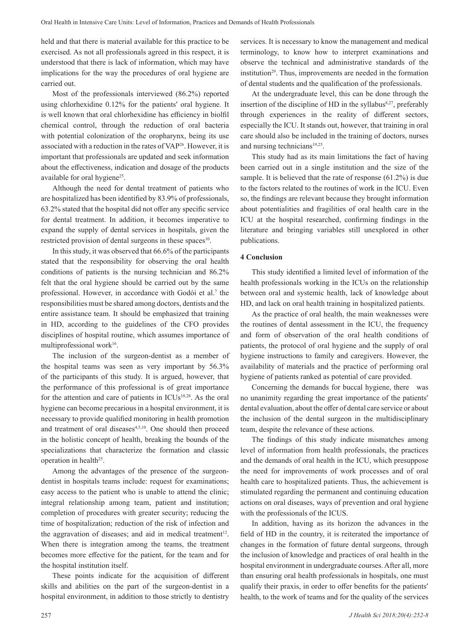held and that there is material available for this practice to be exercised. As not all professionals agreed in this respect, it is understood that there is lack of information, which may have implications for the way the procedures of oral hygiene are carried out.

Most of the professionals interviewed (86.2%) reported using chlorhexidine 0.12% for the patients' oral hygiene. It is well known that oral chlorhexidine has efficiency in biolfil chemical control, through the reduction of oral bacteria with potential colonization of the oropharynx, being its use associated with a reduction in the rates of VAP<sup>26</sup>. However, it is important that professionals are updated and seek information about the effectiveness, indication and dosage of the products available for oral hygiene<sup>25</sup>.

Although the need for dental treatment of patients who are hospitalized has been identified by 83.9% of professionals, 63.2% stated that the hospital did not offer any specific service for dental treatment. In addition, it becomes imperative to expand the supply of dental services in hospitals, given the restricted provision of dental surgeons in these spaces<sup>10</sup>.

In this study, it was observed that 66.6% of the participants stated that the responsibility for observing the oral health conditions of patients is the nursing technician and 86.2% felt that the oral hygiene should be carried out by the same professional. However, in accordance with Godói et al.<sup>7</sup> the responsibilities must be shared among doctors, dentists and the entire assistance team. It should be emphasized that training in HD, according to the guidelines of the CFO provides disciplines of hospital routine, which assumes importance of multiprofessional work<sup>16</sup>.

The inclusion of the surgeon-dentist as a member of the hospital teams was seen as very important by 56.3% of the participants of this study. It is argued, however, that the performance of this professional is of great importance for the attention and care of patients in ICUs<sup>18,28</sup>. As the oral hygiene can become precarious in a hospital environment, it is necessary to provide qualified monitoring in health promotion and treatment of oral diseases<sup>4,5,10</sup>. One should then proceed in the holistic concept of health, breaking the bounds of the specializations that characterize the formation and classic operation in health<sup>25</sup>.

Among the advantages of the presence of the surgeondentist in hospitals teams include: request for examinations; easy access to the patient who is unable to attend the clinic; integral relationship among team, patient and institution; completion of procedures with greater security; reducing the time of hospitalization; reduction of the risk of infection and the aggravation of diseases; and aid in medical treatment $12$ . When there is integration among the teams, the treatment becomes more effective for the patient, for the team and for the hospital institution itself.

These points indicate for the acquisition of different skills and abilities on the part of the surgeon-dentist in a hospital environment, in addition to those strictly to dentistry services. It is necessary to know the management and medical terminology, to know how to interpret examinations and observe the technical and administrative standards of the institution<sup>29</sup>. Thus, improvements are needed in the formation of dental students and the qualification of the professionals.

At the undergraduate level, this can be done through the insertion of the discipline of HD in the syllabus $8,27$ , preferably through experiences in the reality of different sectors, especially the ICU. It stands out, however, that training in oral care should also be included in the training of doctors, nurses and nursing technicians $19,25$ .

This study had as its main limitations the fact of having been carried out in a single institution and the size of the sample. It is believed that the rate of response (61.2%) is due to the factors related to the routines of work in the ICU. Even so, the findings are relevant because they brought information about potentialities and fragilities of oral health care in the ICU at the hospital researched, confirming findings in the literature and bringing variables still unexplored in other publications.

## **4 Conclusion**

This study identified a limited level of information of the health professionals working in the ICUs on the relationship between oral and systemic health, lack of knowledge about HD, and lack on oral health training in hospitalized patients.

As the practice of oral health, the main weaknesses were the routines of dental assessment in the ICU, the frequency and form of observation of the oral health conditions of patients, the protocol of oral hygiene and the supply of oral hygiene instructions to family and caregivers. However, the availability of materials and the practice of performing oral hygiene of patients ranked as potential of care provided.

Concerning the demands for buccal hygiene, there was no unanimity regarding the great importance of the patients' dental evaluation, about the offer of dental care service or about the inclusion of the dental surgeon in the multidisciplinary team, despite the relevance of these actions.

The findings of this study indicate mismatches among level of information from health professionals, the practices and the demands of oral health in the ICU, which presuppose the need for improvements of work processes and of oral health care to hospitalized patients. Thus, the achievement is stimulated regarding the permanent and continuing education actions on oral diseases, ways of prevention and oral hygiene with the professionals of the ICUS.

In addition, having as its horizon the advances in the field of HD in the country, it is reiterated the importance of changes in the formation of future dental surgeons, through the inclusion of knowledge and practices of oral health in the hospital environment in undergraduate courses. After all, more than ensuring oral health professionals in hospitals, one must qualify their praxis, in order to offer benefits for the patients' health, to the work of teams and for the quality of the services